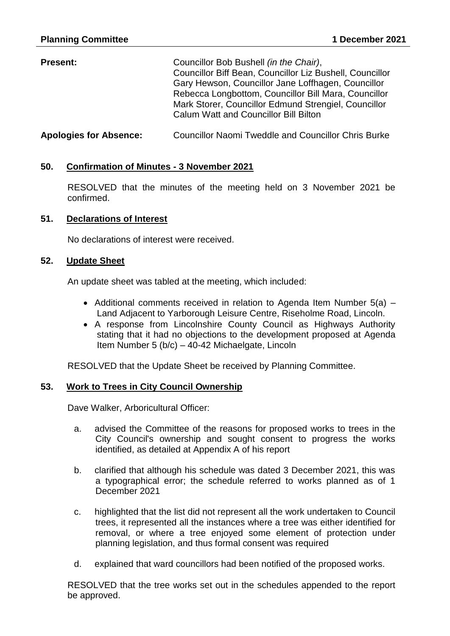| <b>Present:</b>               | Councillor Bob Bushell (in the Chair),<br>Councillor Biff Bean, Councillor Liz Bushell, Councillor<br>Gary Hewson, Councillor Jane Loffhagen, Councillor<br>Rebecca Longbottom, Councillor Bill Mara, Councillor<br>Mark Storer, Councillor Edmund Strengiel, Councillor<br><b>Calum Watt and Councillor Bill Bilton</b> |
|-------------------------------|--------------------------------------------------------------------------------------------------------------------------------------------------------------------------------------------------------------------------------------------------------------------------------------------------------------------------|
| <b>Apologies for Absence:</b> | <b>Councillor Naomi Tweddle and Councillor Chris Burke</b>                                                                                                                                                                                                                                                               |

## **50. Confirmation of Minutes - 3 November 2021**

RESOLVED that the minutes of the meeting held on 3 November 2021 be confirmed.

### **51. Declarations of Interest**

No declarations of interest were received.

### **52. Update Sheet**

An update sheet was tabled at the meeting, which included:

- Additional comments received in relation to Agenda Item Number  $5(a)$  Land Adjacent to Yarborough Leisure Centre, Riseholme Road, Lincoln.
- A response from Lincolnshire County Council as Highways Authority stating that it had no objections to the development proposed at Agenda Item Number 5 (b/c) – 40-42 Michaelgate, Lincoln

RESOLVED that the Update Sheet be received by Planning Committee.

### **53. Work to Trees in City Council Ownership**

Dave Walker, Arboricultural Officer:

- a. advised the Committee of the reasons for proposed works to trees in the City Council's ownership and sought consent to progress the works identified, as detailed at Appendix A of his report
- b. clarified that although his schedule was dated 3 December 2021, this was a typographical error; the schedule referred to works planned as of 1 December 2021
- c. highlighted that the list did not represent all the work undertaken to Council trees, it represented all the instances where a tree was either identified for removal, or where a tree enjoyed some element of protection under planning legislation, and thus formal consent was required
- d. explained that ward councillors had been notified of the proposed works.

RESOLVED that the tree works set out in the schedules appended to the report be approved.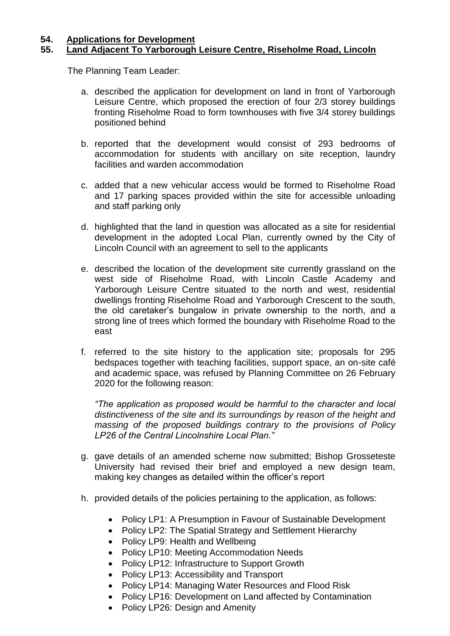## **54. Applications for Development 55. Land Adjacent To Yarborough Leisure Centre, Riseholme Road, Lincoln**

The Planning Team Leader:

- a. described the application for development on land in front of Yarborough Leisure Centre, which proposed the erection of four 2/3 storey buildings fronting Riseholme Road to form townhouses with five 3/4 storey buildings positioned behind
- b. reported that the development would consist of 293 bedrooms of accommodation for students with ancillary on site reception, laundry facilities and warden accommodation
- c. added that a new vehicular access would be formed to Riseholme Road and 17 parking spaces provided within the site for accessible unloading and staff parking only
- d. highlighted that the land in question was allocated as a site for residential development in the adopted Local Plan, currently owned by the City of Lincoln Council with an agreement to sell to the applicants
- e. described the location of the development site currently grassland on the west side of Riseholme Road, with Lincoln Castle Academy and Yarborough Leisure Centre situated to the north and west, residential dwellings fronting Riseholme Road and Yarborough Crescent to the south, the old caretaker's bungalow in private ownership to the north, and a strong line of trees which formed the boundary with Riseholme Road to the east
- f. referred to the site history to the application site; proposals for 295 bedspaces together with teaching facilities, support space, an on-site café and academic space, was refused by Planning Committee on 26 February 2020 for the following reason:

*"The application as proposed would be harmful to the character and local distinctiveness of the site and its surroundings by reason of the height and massing of the proposed buildings contrary to the provisions of Policy LP26 of the Central Lincolnshire Local Plan."*

- g. gave details of an amended scheme now submitted; Bishop Grosseteste University had revised their brief and employed a new design team, making key changes as detailed within the officer's report
- h. provided details of the policies pertaining to the application, as follows:
	- Policy LP1: A Presumption in Favour of Sustainable Development
	- Policy LP2: The Spatial Strategy and Settlement Hierarchy
	- Policy LP9: Health and Wellbeing
	- Policy LP10: Meeting Accommodation Needs
	- Policy LP12: Infrastructure to Support Growth
	- Policy LP13: Accessibility and Transport
	- Policy LP14: Managing Water Resources and Flood Risk
	- Policy LP16: Development on Land affected by Contamination
	- Policy LP26: Design and Amenity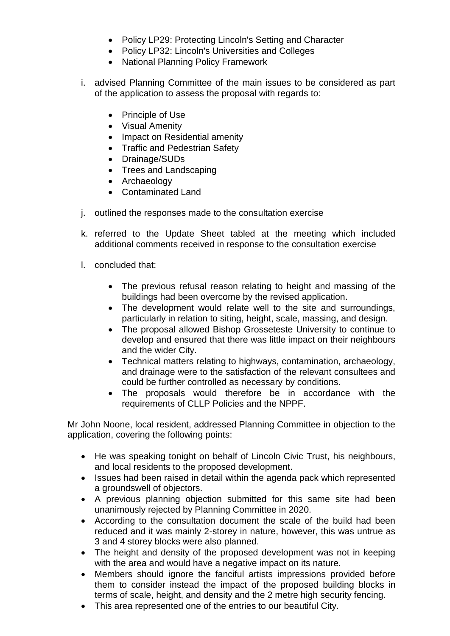- Policy LP29: Protecting Lincoln's Setting and Character
- Policy LP32: Lincoln's Universities and Colleges
- National Planning Policy Framework
- i. advised Planning Committee of the main issues to be considered as part of the application to assess the proposal with regards to:
	- Principle of Use
	- Visual Amenity
	- Impact on Residential amenity
	- Traffic and Pedestrian Safety
	- Drainage/SUDs
	- Trees and Landscaping
	- Archaeology
	- Contaminated Land
- j. outlined the responses made to the consultation exercise
- k. referred to the Update Sheet tabled at the meeting which included additional comments received in response to the consultation exercise
- l. concluded that:
	- The previous refusal reason relating to height and massing of the buildings had been overcome by the revised application.
	- The development would relate well to the site and surroundings, particularly in relation to siting, height, scale, massing, and design.
	- The proposal allowed Bishop Grosseteste University to continue to develop and ensured that there was little impact on their neighbours and the wider City.
	- Technical matters relating to highways, contamination, archaeology, and drainage were to the satisfaction of the relevant consultees and could be further controlled as necessary by conditions.
	- The proposals would therefore be in accordance with the requirements of CLLP Policies and the NPPF.

Mr John Noone, local resident, addressed Planning Committee in objection to the application, covering the following points:

- He was speaking tonight on behalf of Lincoln Civic Trust, his neighbours, and local residents to the proposed development.
- Issues had been raised in detail within the agenda pack which represented a groundswell of objectors.
- A previous planning objection submitted for this same site had been unanimously rejected by Planning Committee in 2020.
- According to the consultation document the scale of the build had been reduced and it was mainly 2-storey in nature, however, this was untrue as 3 and 4 storey blocks were also planned.
- The height and density of the proposed development was not in keeping with the area and would have a negative impact on its nature.
- Members should ignore the fanciful artists impressions provided before them to consider instead the impact of the proposed building blocks in terms of scale, height, and density and the 2 metre high security fencing.
- This area represented one of the entries to our beautiful City.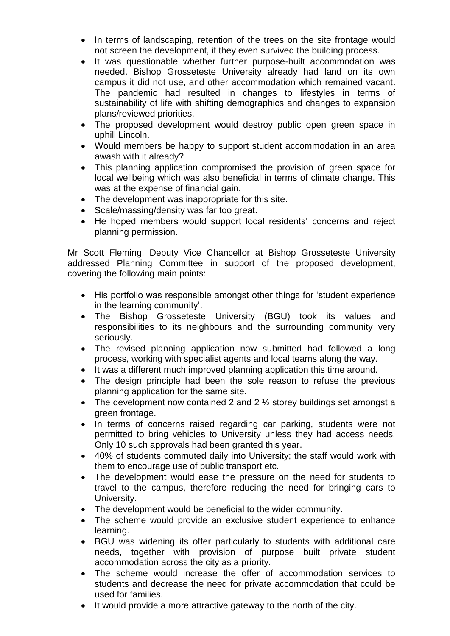- In terms of landscaping, retention of the trees on the site frontage would not screen the development, if they even survived the building process.
- It was questionable whether further purpose-built accommodation was needed. Bishop Grosseteste University already had land on its own campus it did not use, and other accommodation which remained vacant. The pandemic had resulted in changes to lifestyles in terms of sustainability of life with shifting demographics and changes to expansion plans/reviewed priorities.
- The proposed development would destroy public open green space in uphill Lincoln.
- Would members be happy to support student accommodation in an area awash with it already?
- This planning application compromised the provision of green space for local wellbeing which was also beneficial in terms of climate change. This was at the expense of financial gain.
- The development was inappropriate for this site.
- Scale/massing/density was far too great.
- He hoped members would support local residents' concerns and reject planning permission.

Mr Scott Fleming, Deputy Vice Chancellor at Bishop Grosseteste University addressed Planning Committee in support of the proposed development, covering the following main points:

- His portfolio was responsible amongst other things for 'student experience in the learning community'.
- The Bishop Grosseteste University (BGU) took its values and responsibilities to its neighbours and the surrounding community very seriously.
- The revised planning application now submitted had followed a long process, working with specialist agents and local teams along the way.
- It was a different much improved planning application this time around.
- The design principle had been the sole reason to refuse the previous planning application for the same site.
- The development now contained 2 and  $2\frac{1}{2}$  storey buildings set amongst a green frontage.
- In terms of concerns raised regarding car parking, students were not permitted to bring vehicles to University unless they had access needs. Only 10 such approvals had been granted this year.
- 40% of students commuted daily into University; the staff would work with them to encourage use of public transport etc.
- The development would ease the pressure on the need for students to travel to the campus, therefore reducing the need for bringing cars to University.
- The development would be beneficial to the wider community.
- The scheme would provide an exclusive student experience to enhance learning.
- BGU was widening its offer particularly to students with additional care needs, together with provision of purpose built private student accommodation across the city as a priority.
- The scheme would increase the offer of accommodation services to students and decrease the need for private accommodation that could be used for families.
- It would provide a more attractive gateway to the north of the city.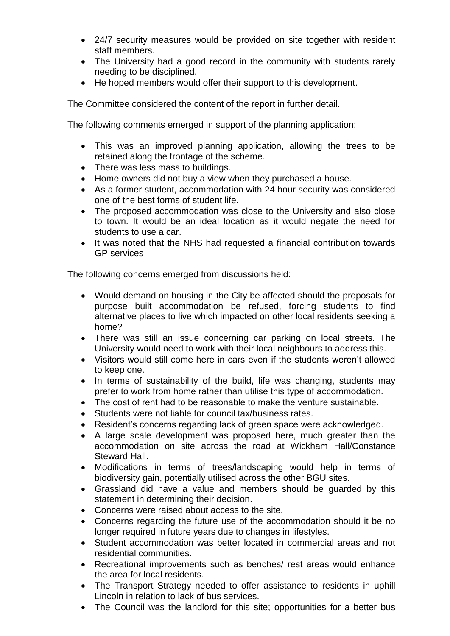- 24/7 security measures would be provided on site together with resident staff members.
- The University had a good record in the community with students rarely needing to be disciplined.
- He hoped members would offer their support to this development.

The Committee considered the content of the report in further detail.

The following comments emerged in support of the planning application:

- This was an improved planning application, allowing the trees to be retained along the frontage of the scheme.
- There was less mass to buildings.
- Home owners did not buy a view when they purchased a house.
- As a former student, accommodation with 24 hour security was considered one of the best forms of student life.
- The proposed accommodation was close to the University and also close to town. It would be an ideal location as it would negate the need for students to use a car.
- It was noted that the NHS had requested a financial contribution towards GP services

The following concerns emerged from discussions held:

- Would demand on housing in the City be affected should the proposals for purpose built accommodation be refused, forcing students to find alternative places to live which impacted on other local residents seeking a home?
- There was still an issue concerning car parking on local streets. The University would need to work with their local neighbours to address this.
- Visitors would still come here in cars even if the students weren't allowed to keep one.
- In terms of sustainability of the build, life was changing, students may prefer to work from home rather than utilise this type of accommodation.
- The cost of rent had to be reasonable to make the venture sustainable.
- Students were not liable for council tax/business rates.
- Resident's concerns regarding lack of green space were acknowledged.
- A large scale development was proposed here, much greater than the accommodation on site across the road at Wickham Hall/Constance Steward Hall.
- Modifications in terms of trees/landscaping would help in terms of biodiversity gain, potentially utilised across the other BGU sites.
- Grassland did have a value and members should be guarded by this statement in determining their decision.
- Concerns were raised about access to the site.
- Concerns regarding the future use of the accommodation should it be no longer required in future years due to changes in lifestyles.
- Student accommodation was better located in commercial areas and not residential communities.
- Recreational improvements such as benches/ rest areas would enhance the area for local residents.
- The Transport Strategy needed to offer assistance to residents in uphill Lincoln in relation to lack of bus services.
- The Council was the landlord for this site; opportunities for a better bus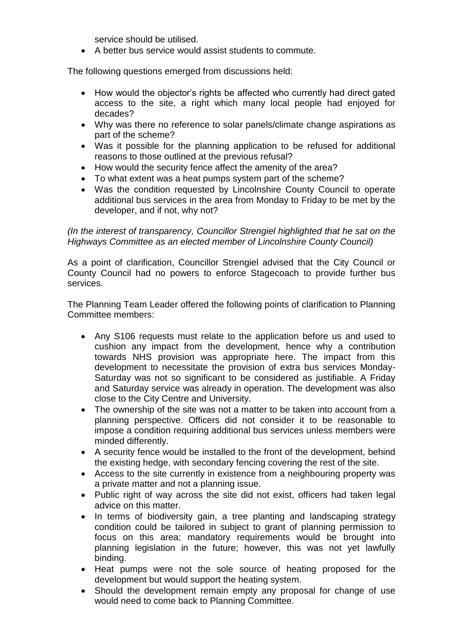service should be utilised.

A better bus service would assist students to commute.

The following questions emerged from discussions held:

- How would the objector's rights be affected who currently had direct gated access to the site, a right which many local people had enjoyed for decades?
- Why was there no reference to solar panels/climate change aspirations as part of the scheme?
- Was it possible for the planning application to be refused for additional reasons to those outlined at the previous refusal?
- How would the security fence affect the amenity of the area?
- To what extent was a heat pumps system part of the scheme?
- Was the condition requested by Lincolnshire County Council to operate additional bus services in the area from Monday to Friday to be met by the developer, and if not, why not?

*(In the interest of transparency, Councillor Strengiel highlighted that he sat on the Highways Committee as an elected member of Lincolnshire County Council)*

As a point of clarification, Councillor Strengiel advised that the City Council or County Council had no powers to enforce Stagecoach to provide further bus services.

The Planning Team Leader offered the following points of clarification to Planning Committee members:

- Any S106 requests must relate to the application before us and used to cushion any impact from the development, hence why a contribution towards NHS provision was appropriate here. The impact from this development to necessitate the provision of extra bus services Monday-Saturday was not so significant to be considered as justifiable. A Friday and Saturday service was already in operation. The development was also close to the City Centre and University.
- The ownership of the site was not a matter to be taken into account from a planning perspective. Officers did not consider it to be reasonable to impose a condition requiring additional bus services unless members were minded differently.
- A security fence would be installed to the front of the development, behind the existing hedge, with secondary fencing covering the rest of the site.
- Access to the site currently in existence from a neighbouring property was a private matter and not a planning issue.
- Public right of way across the site did not exist, officers had taken legal advice on this matter.
- In terms of biodiversity gain, a tree planting and landscaping strategy condition could be tailored in subject to grant of planning permission to focus on this area; mandatory requirements would be brought into planning legislation in the future; however, this was not yet lawfully binding.
- Heat pumps were not the sole source of heating proposed for the development but would support the heating system.
- Should the development remain empty any proposal for change of use would need to come back to Planning Committee.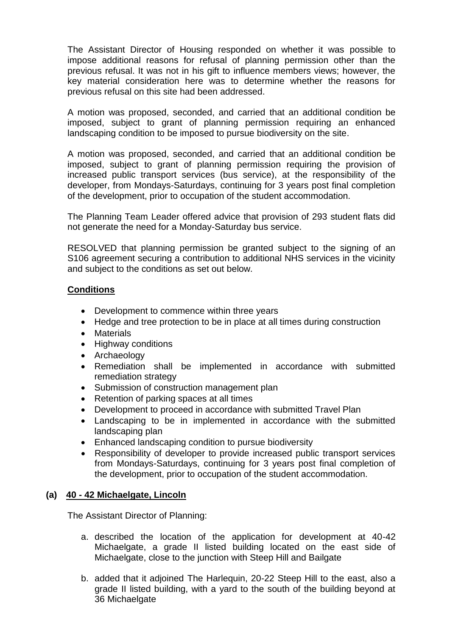The Assistant Director of Housing responded on whether it was possible to impose additional reasons for refusal of planning permission other than the previous refusal. It was not in his gift to influence members views; however, the key material consideration here was to determine whether the reasons for previous refusal on this site had been addressed.

A motion was proposed, seconded, and carried that an additional condition be imposed, subject to grant of planning permission requiring an enhanced landscaping condition to be imposed to pursue biodiversity on the site.

A motion was proposed, seconded, and carried that an additional condition be imposed, subject to grant of planning permission requiring the provision of increased public transport services (bus service), at the responsibility of the developer, from Mondays-Saturdays, continuing for 3 years post final completion of the development, prior to occupation of the student accommodation.

The Planning Team Leader offered advice that provision of 293 student flats did not generate the need for a Monday-Saturday bus service.

RESOLVED that planning permission be granted subject to the signing of an S106 agreement securing a contribution to additional NHS services in the vicinity and subject to the conditions as set out below.

## **Conditions**

- Development to commence within three years
- Hedge and tree protection to be in place at all times during construction
- Materials
- Highway conditions
- Archaeology
- Remediation shall be implemented in accordance with submitted remediation strategy
- Submission of construction management plan
- Retention of parking spaces at all times
- Development to proceed in accordance with submitted Travel Plan
- Landscaping to be in implemented in accordance with the submitted landscaping plan
- Enhanced landscaping condition to pursue biodiversity
- Responsibility of developer to provide increased public transport services from Mondays-Saturdays, continuing for 3 years post final completion of the development, prior to occupation of the student accommodation.

# **(a) 40 - 42 Michaelgate, Lincoln**

The Assistant Director of Planning:

- a. described the location of the application for development at 40-42 Michaelgate, a grade II listed building located on the east side of Michaelgate, close to the junction with Steep Hill and Bailgate
- b. added that it adjoined The Harlequin, 20-22 Steep Hill to the east, also a grade II listed building, with a yard to the south of the building beyond at 36 Michaelgate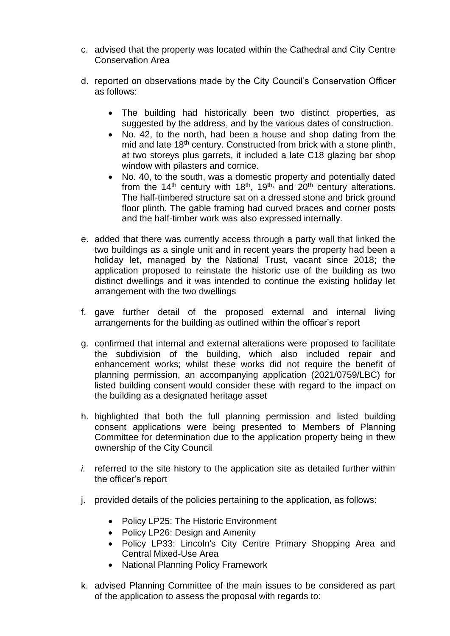- c. advised that the property was located within the Cathedral and City Centre Conservation Area
- d. reported on observations made by the City Council's Conservation Officer as follows:
	- The building had historically been two distinct properties, as suggested by the address, and by the various dates of construction.
	- No. 42, to the north, had been a house and shop dating from the mid and late 18<sup>th</sup> century. Constructed from brick with a stone plinth, at two storeys plus garrets, it included a late C18 glazing bar shop window with pilasters and cornice.
	- No. 40, to the south, was a domestic property and potentially dated from the 14<sup>th</sup> century with 18<sup>th</sup>, 19<sup>th,</sup> and 20<sup>th</sup> century alterations. The half-timbered structure sat on a dressed stone and brick ground floor plinth. The gable framing had curved braces and corner posts and the half-timber work was also expressed internally.
- e. added that there was currently access through a party wall that linked the two buildings as a single unit and in recent years the property had been a holiday let, managed by the National Trust, vacant since 2018; the application proposed to reinstate the historic use of the building as two distinct dwellings and it was intended to continue the existing holiday let arrangement with the two dwellings
- f. gave further detail of the proposed external and internal living arrangements for the building as outlined within the officer's report
- g. confirmed that internal and external alterations were proposed to facilitate the subdivision of the building, which also included repair and enhancement works; whilst these works did not require the benefit of planning permission, an accompanying application (2021/0759/LBC) for listed building consent would consider these with regard to the impact on the building as a designated heritage asset
- h. highlighted that both the full planning permission and listed building consent applications were being presented to Members of Planning Committee for determination due to the application property being in thew ownership of the City Council
- *i.* referred to the site history to the application site as detailed further within the officer's report
- j. provided details of the policies pertaining to the application, as follows:
	- Policy LP25: The Historic Environment
	- Policy LP26: Design and Amenity
	- Policy LP33: Lincoln's City Centre Primary Shopping Area and Central Mixed-Use Area
	- National Planning Policy Framework
- k. advised Planning Committee of the main issues to be considered as part of the application to assess the proposal with regards to: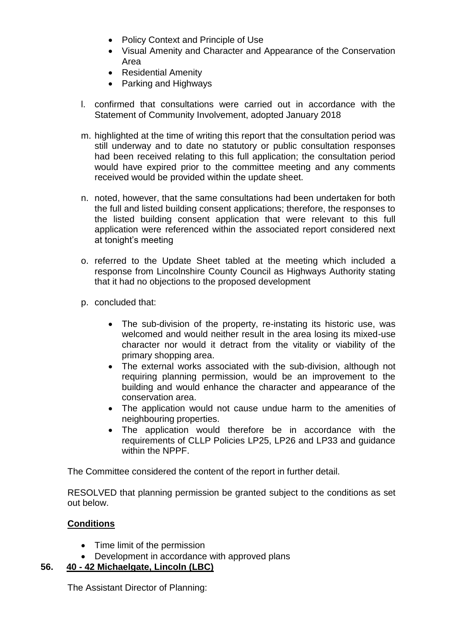- Policy Context and Principle of Use
- Visual Amenity and Character and Appearance of the Conservation Area
- Residential Amenity
- Parking and Highways
- l. confirmed that consultations were carried out in accordance with the Statement of Community Involvement, adopted January 2018
- m. highlighted at the time of writing this report that the consultation period was still underway and to date no statutory or public consultation responses had been received relating to this full application; the consultation period would have expired prior to the committee meeting and any comments received would be provided within the update sheet.
- n. noted, however, that the same consultations had been undertaken for both the full and listed building consent applications; therefore, the responses to the listed building consent application that were relevant to this full application were referenced within the associated report considered next at tonight's meeting
- o. referred to the Update Sheet tabled at the meeting which included a response from Lincolnshire County Council as Highways Authority stating that it had no objections to the proposed development
- p. concluded that:
	- The sub-division of the property, re-instating its historic use, was welcomed and would neither result in the area losing its mixed-use character nor would it detract from the vitality or viability of the primary shopping area.
	- The external works associated with the sub-division, although not requiring planning permission, would be an improvement to the building and would enhance the character and appearance of the conservation area.
	- The application would not cause undue harm to the amenities of neighbouring properties.
	- The application would therefore be in accordance with the requirements of CLLP Policies LP25, LP26 and LP33 and guidance within the NPPF.

The Committee considered the content of the report in further detail.

RESOLVED that planning permission be granted subject to the conditions as set out below.

# **Conditions**

- Time limit of the permission
- Development in accordance with approved plans

# **56. 40 - 42 Michaelgate, Lincoln (LBC)**

The Assistant Director of Planning: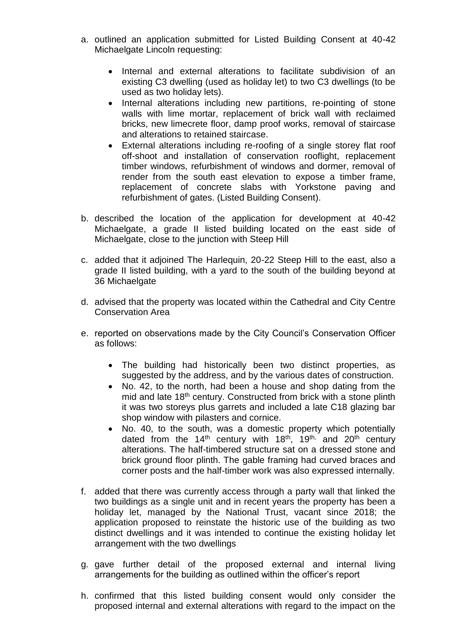- a. outlined an application submitted for Listed Building Consent at 40-42 Michaelgate Lincoln requesting:
	- Internal and external alterations to facilitate subdivision of an existing C3 dwelling (used as holiday let) to two C3 dwellings (to be used as two holiday lets).
	- Internal alterations including new partitions, re-pointing of stone walls with lime mortar, replacement of brick wall with reclaimed bricks, new limecrete floor, damp proof works, removal of staircase and alterations to retained staircase.
	- External alterations including re-roofing of a single storey flat roof off-shoot and installation of conservation rooflight, replacement timber windows, refurbishment of windows and dormer, removal of render from the south east elevation to expose a timber frame, replacement of concrete slabs with Yorkstone paving and refurbishment of gates. (Listed Building Consent).
- b. described the location of the application for development at 40-42 Michaelgate, a grade II listed building located on the east side of Michaelgate, close to the junction with Steep Hill
- c. added that it adjoined The Harlequin, 20-22 Steep Hill to the east, also a grade II listed building, with a yard to the south of the building beyond at 36 Michaelgate
- d. advised that the property was located within the Cathedral and City Centre Conservation Area
- e. reported on observations made by the City Council's Conservation Officer as follows:
	- The building had historically been two distinct properties, as suggested by the address, and by the various dates of construction.
	- No. 42, to the north, had been a house and shop dating from the mid and late 18<sup>th</sup> century. Constructed from brick with a stone plinth it was two storeys plus garrets and included a late C18 glazing bar shop window with pilasters and cornice.
	- No. 40, to the south, was a domestic property which potentially dated from the  $14<sup>th</sup>$  century with  $18<sup>th</sup>$ ,  $19<sup>th</sup>$  and  $20<sup>th</sup>$  century alterations. The half-timbered structure sat on a dressed stone and brick ground floor plinth. The gable framing had curved braces and corner posts and the half-timber work was also expressed internally.
- f. added that there was currently access through a party wall that linked the two buildings as a single unit and in recent years the property has been a holiday let, managed by the National Trust, vacant since 2018; the application proposed to reinstate the historic use of the building as two distinct dwellings and it was intended to continue the existing holiday let arrangement with the two dwellings
- g. gave further detail of the proposed external and internal living arrangements for the building as outlined within the officer's report
- h. confirmed that this listed building consent would only consider the proposed internal and external alterations with regard to the impact on the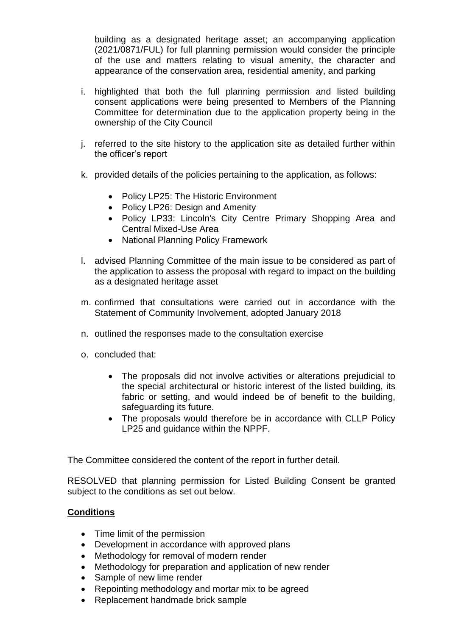building as a designated heritage asset; an accompanying application (2021/0871/FUL) for full planning permission would consider the principle of the use and matters relating to visual amenity, the character and appearance of the conservation area, residential amenity, and parking

- i. highlighted that both the full planning permission and listed building consent applications were being presented to Members of the Planning Committee for determination due to the application property being in the ownership of the City Council
- j. referred to the site history to the application site as detailed further within the officer's report
- k. provided details of the policies pertaining to the application, as follows:
	- Policy LP25: The Historic Environment
	- Policy LP26: Design and Amenity
	- Policy LP33: Lincoln's City Centre Primary Shopping Area and Central Mixed-Use Area
	- National Planning Policy Framework
- l. advised Planning Committee of the main issue to be considered as part of the application to assess the proposal with regard to impact on the building as a designated heritage asset
- m. confirmed that consultations were carried out in accordance with the Statement of Community Involvement, adopted January 2018
- n. outlined the responses made to the consultation exercise
- o. concluded that:
	- The proposals did not involve activities or alterations prejudicial to the special architectural or historic interest of the listed building, its fabric or setting, and would indeed be of benefit to the building, safeguarding its future.
	- The proposals would therefore be in accordance with CLLP Policy LP25 and guidance within the NPPF.

The Committee considered the content of the report in further detail.

RESOLVED that planning permission for Listed Building Consent be granted subject to the conditions as set out below.

## **Conditions**

- Time limit of the permission
- Development in accordance with approved plans
- Methodology for removal of modern render
- Methodology for preparation and application of new render
- Sample of new lime render
- Repointing methodology and mortar mix to be agreed
- Replacement handmade brick sample